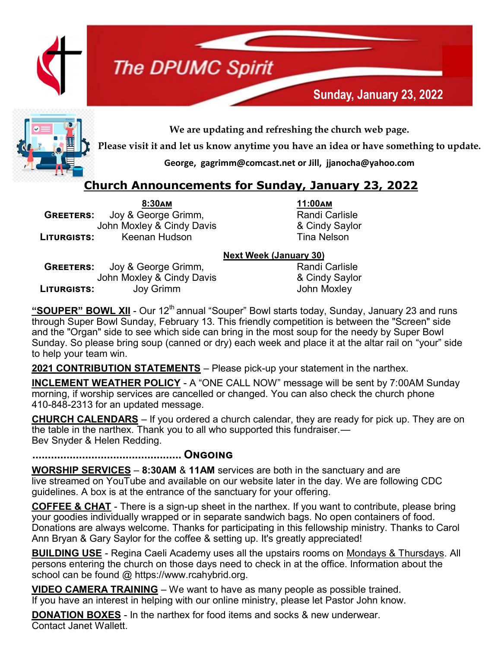

# **The DPUMC Spirit**



**We are updating and refreshing the church web page.** 

**Please visit it and let us know anytime you have an idea or have something to update.** 

**George, gagrimm@comcast.net or Jill, jjanocha@yahoo.com**

#### **Church Announcements for Sunday, January 23, 2022**

**8:30am 11:00am GREETERS:** Joy & George Grimm, Randi Carlisle John Moxley & Cindy Davis **Example 2** Cindy Saylor **Liturgists:** Keenan Hudson Nelson Tina Nelson

#### **Next Week (January 30)**

**GREETERS:** Joy & George Grimm, Randi Carlisle John Moxley & Cindy Davis & Cindy Saylor **Liturgists:** Joy Grimm John Moxley

"**SOUPER" BOWL XII** - Our 12<sup>th</sup> annual "Souper" Bowl starts today, Sunday, January 23 and runs through Super Bowl Sunday, February 13. This friendly competition is between the "Screen" side and the "Organ" side to see which side can bring in the most soup for the needy by Super Bowl Sunday. So please bring soup (canned or dry) each week and place it at the altar rail on "your" side to help your team win.

**2021 CONTRIBUTION STATEMENTS** – Please pick-up your statement in the narthex.

**INCLEMENT WEATHER POLICY** - A "ONE CALL NOW" message will be sent by 7:00AM Sunday morning, if worship services are cancelled or changed. You can also check the church phone 410-848-2313 for an updated message.

**CHURCH CALENDARS** – If you ordered a church calendar, they are ready for pick up. They are on the table in the narthex. Thank you to all who supported this fundraiser.— Bev Snyder & Helen Redding.

**................................................ Ongoing**

**WORSHIP SERVICES** – **8:30AM** & **11AM** services are both in the sanctuary and are live streamed on YouTube and available on our website later in the day. We are following CDC guidelines. A box is at the entrance of the sanctuary for your offering.

**COFFEE & CHAT** - There is a sign-up sheet in the narthex. If you want to contribute, please bring your goodies individually wrapped or in separate sandwich bags. No open containers of food. Donations are always welcome. Thanks for participating in this fellowship ministry. Thanks to Carol Ann Bryan & Gary Saylor for the coffee & setting up. It's greatly appreciated!

**BUILDING USE** - Regina Caeli Academy uses all the upstairs rooms on Mondays & Thursdays. All persons entering the church on those days need to check in at the office. Information about the school can be found @ https://www.rcahybrid.org.

**VIDEO CAMERA TRAINING** – We want to have as many people as possible trained. If you have an interest in helping with our online ministry, please let Pastor John know.

**DONATION BOXES** - In the narthex for food items and socks & new underwear. Contact Janet Wallett.